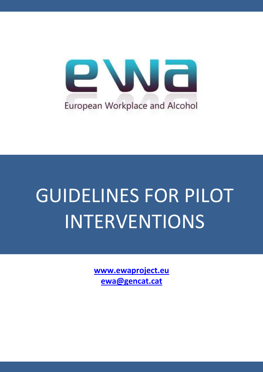

# GUIDELINES FOR PILOT INTERVENTIONS

www.ewaproject.eu ewa@gencat.cat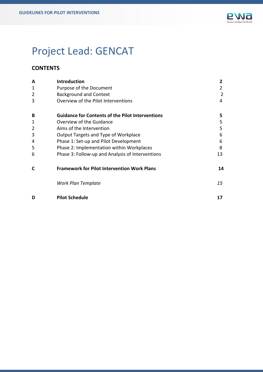

# Project Lead: GENCAT

# **CONTENTS**

| A              | <b>Introduction</b>                                     |    |  |  |
|----------------|---------------------------------------------------------|----|--|--|
| 1              | Purpose of the Document                                 | 2  |  |  |
| 2              | <b>Background and Context</b>                           | 2  |  |  |
| 3              | Overview of the Pilot Interventions                     |    |  |  |
| В              | <b>Guidance for Contents of the Pilot Interventions</b> | 5  |  |  |
| 1              | Overview of the Guidance                                | 5  |  |  |
| $\overline{2}$ | Aims of the Intervention                                |    |  |  |
| 3              | Output Targets and Type of Workplace                    | 6  |  |  |
| 4              | Phase 1: Set-up and Pilot Development                   | 6  |  |  |
| 5              | Phase 2: Implementation within Workplaces               | 8  |  |  |
| 6              | Phase 3: Follow-up and Analysis of Interventions        |    |  |  |
| C              | <b>Framework for Pilot Intervention Work Plans</b>      | 14 |  |  |
|                | Work Plan Template                                      | 15 |  |  |
| D              | <b>Pilot Schedule</b>                                   | 17 |  |  |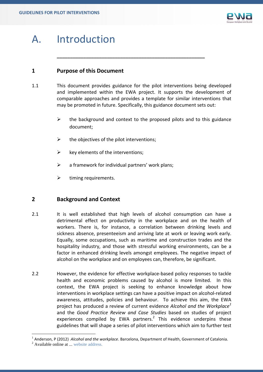

# A. Introduction

# 1 Purpose of this Document

1.1 This document provides guidance for the pilot interventions being developed and implemented within the EWA project. It supports the development of comparable approaches and provides a template for similar interventions that may be promoted in future. Specifically, this guidance document sets out:

\_\_\_\_\_\_\_\_\_\_\_\_\_\_\_\_\_\_\_\_\_\_\_\_\_\_\_\_\_\_\_\_\_\_\_\_\_\_\_\_\_\_\_\_\_\_\_\_\_\_\_\_\_\_\_\_

- $\triangleright$  the background and context to the proposed pilots and to this guidance document;
- $\triangleright$  the objectives of the pilot interventions;
- $\triangleright$  key elements of the interventions:
- $\triangleright$  a framework for individual partners' work plans;
- $\triangleright$  timing requirements.

# 2 Background and Context

- 2.1 It is well established that high levels of alcohol consumption can have a detrimental effect on productivity in the workplace and on the health of workers. There is, for instance, a correlation between drinking levels and sickness absence, presenteeism and arriving late at work or leaving work early. Equally, some occupations, such as maritime and construction trades and the hospitality industry, and those with stressful working environments, can be a factor in enhanced drinking levels amongst employees. The negative impact of alcohol on the workplace and on employees can, therefore, be significant.
- 2.2 However, the evidence for effective workplace-based policy responses to tackle health and economic problems caused by alcohol is more limited. In this context, the EWA project is seeking to enhance knowledge about how interventions in workplace settings can have a positive impact on alcohol-related awareness, attitudes, policies and behaviour. To achieve this aim, the EWA project has produced a review of current evidence Alcohol and the Workplace<sup>1</sup> and the Good Practice Review and Case Studies based on studies of project experiences compiled by EWA partners. $^2$  This evidence underpins these guidelines that will shape a series of pilot interventions which aim to further test

 1 Anderson, P (2012) Alcohol and the workplace. Barcelona, Department of Health, Government of Catalonia.

<sup>&</sup>lt;sup>2</sup> Available online at ... website address.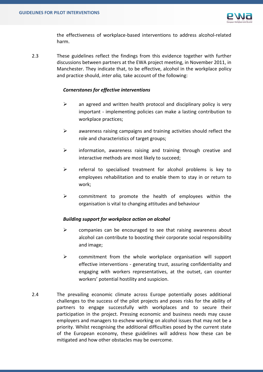

the effectiveness of workplace-based interventions to address alcohol-related harm.

2.3 These guidelines reflect the findings from this evidence together with further discussions between partners at the EWA project meeting, in November 2011, in Manchester. They indicate that, to be effective, alcohol in the workplace policy and practice should, inter alia, take account of the following:

#### Cornerstones for effective interventions

- $\triangleright$  an agreed and written health protocol and disciplinary policy is very important - implementing policies can make a lasting contribution to workplace practices;
- $\triangleright$  awareness raising campaigns and training activities should reflect the role and characteristics of target groups;
- $\triangleright$  information, awareness raising and training through creative and interactive methods are most likely to succeed;
- $\triangleright$  referral to specialised treatment for alcohol problems is key to employees rehabilitation and to enable them to stay in or return to work;
- $\triangleright$  commitment to promote the health of employees within the organisation is vital to changing attitudes and behaviour

#### Building support for workplace action on alcohol

- $\triangleright$  companies can be encouraged to see that raising awareness about alcohol can contribute to boosting their corporate social responsibility and image;
- $\triangleright$  commitment from the whole workplace organisation will support effective interventions - generating trust, assuring confidentiality and engaging with workers representatives, at the outset, can counter workers' potential hostility and suspicion.
- 2.4 The prevailing economic climate across Europe potentially poses additional challenges to the success of the pilot projects and poses risks for the ability of partners to engage successfully with workplaces and to secure their participation in the project. Pressing economic and business needs may cause employers and managers to eschew working on alcohol issues that may not be a priority. Whilst recognising the additional difficulties posed by the current state of the European economy, these guidelines will address how these can be mitigated and how other obstacles may be overcome.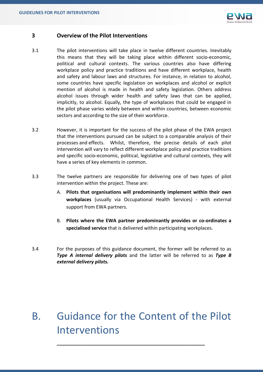

# 3 Overview of the Pilot Interventions

- 3.1 The pilot interventions will take place in twelve different countries. Inevitably this means that they will be taking place within different socio-economic, political and cultural contexts. The various countries also have differing workplace policy and practice traditions and have different workplace, health and safety and labour laws and structures. For instance, in relation to alcohol, some countries have specific legislation on workplaces and alcohol or explicit mention of alcohol is made in health and safety legislation. Others address alcohol issues through wider health and safety laws that can be applied, implicitly, to alcohol. Equally, the type of workplaces that could be engaged in the pilot phase varies widely between and within countries, between economic sectors and according to the size of their workforce.
- 3.2 However, it is important for the success of the pilot phase of the EWA project that the interventions pursued can be subject to a comparable analysis of their processes and effects. Whilst, therefore, the precise details of each pilot intervention will vary to reflect different workplace policy and practice traditions and specific socio-economic, political, legislative and cultural contexts, they will have a series of key elements in common.
- 3.3 The twelve partners are responsible for delivering one of two types of pilot intervention within the project. These are:
	- A. Pilots that organisations will predominantly implement within their own workplaces (usually via Occupational Health Services) - with external support from EWA partners.
	- B. Pilots where the EWA partner predominantly provides or co-ordinates a specialised service that is delivered within participating workplaces.
- 3.4 For the purposes of this guidance document, the former will be referred to as **Type A internal delivery pilots** and the latter will be referred to as Type B external delivery pilots.

# B. Guidance for the Content of the Pilot Interventions

\_\_\_\_\_\_\_\_\_\_\_\_\_\_\_\_\_\_\_\_\_\_\_\_\_\_\_\_\_\_\_\_\_\_\_\_\_\_\_\_\_\_\_\_\_\_\_\_\_\_\_\_\_\_\_\_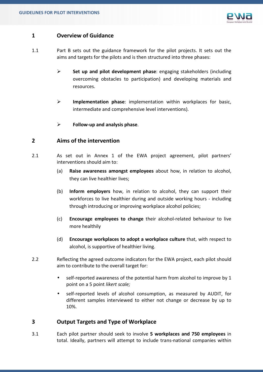

# 1 Overview of Guidance

- 1.1 Part B sets out the guidance framework for the pilot projects. It sets out the aims and targets for the pilots and is then structured into three phases:
	- $\triangleright$  Set up and pilot development phase: engaging stakeholders (including overcoming obstacles to participation) and developing materials and resources.
	- $\triangleright$  Implementation phase: implementation within workplaces for basic, intermediate and comprehensive level interventions).
	- $\triangleright$  Follow-up and analysis phase.

# 2 Aims of the intervention

- 2.1 As set out in Annex 1 of the EWA project agreement, pilot partners' interventions should aim to:
	- (a) Raise awareness amongst employees about how, in relation to alcohol, they can live healthier lives;
	- (b) Inform employers how, in relation to alcohol, they can support their workforces to live healthier during and outside working hours - including through introducing or improving workplace alcohol policies;
	- (c) Encourage employees to change their alcohol-related behaviour to live more healthily
	- (d) Encourage workplaces to adopt a workplace culture that, with respect to alcohol, is supportive of healthier living.
- 2.2 Reflecting the agreed outcome indicators for the EWA project, each pilot should aim to contribute to the overall target for:
	- self-reported awareness of the potential harm from alcohol to improve by 1 point on a 5 point likert scale;
	- self-reported levels of alcohol consumption, as measured by AUDIT, for different samples interviewed to either not change or decrease by up to 10%.

# 3 Output Targets and Type of Workplace

3.1 Each pilot partner should seek to involve 5 workplaces and 750 employees in total. Ideally, partners will attempt to include trans-national companies within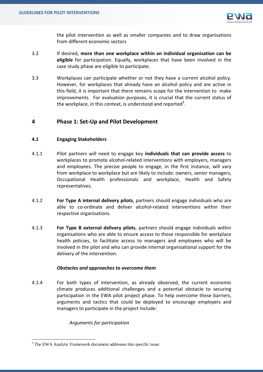

the pilot intervention as well as smaller companies and to draw organisations from different economic sectors

- 3.2 If desired, more than one workplace within an individual organisation can be eligible for participation. Equally, workplaces that have been involved in the case study phase are eligible to participate.
- 3.3 Workplaces can participate whether or not they have a current alcohol policy. However, for workplaces that already have an alcohol policy and are active in this field, it is important that there remains scope for the intervention to make improvements. For evaluation purposes, it is crucial that the current status of the workplace, in this context, is understood and reported<sup>3</sup>.

# 4 Phase 1: Set-Up and Pilot Development

### 4.1 Engaging Stakeholders

- 4.1.1 Pilot partners will need to engage key individuals that can provide access to workplaces to promote alcohol-related interventions with employers, managers and employees. The precise people to engage, in the first instance, will vary from workplace to workplace but are likely to include: owners, senior managers, Occupational Health professionals and workplace, Health and Safety representatives.
- 4.1.2 **For Type A internal delivery pilots**, partners should engage individuals who are able to co-ordinate and deliver alcohol-related interventions within their respective organisations.
- 4.1.3 For Type B external delivery pilots, partners should engage individuals within organisations who are able to ensure access to those responsible for workplace health policies, to facilitate access to managers and employees who will be involved in the pilot and who can provide internal organisational support for the delivery of the intervention.

### Obstacles and approaches to overcome them

4.1.4 For both types of intervention, as already observed, the current economic climate produces additional challenges and a potential obstacle to securing participation in the EWA pilot project phase. To help overcome these barriers, arguments and tactics that could be deployed to encourage employers and managers to participate in the project include:

Arguments for participation

 $\overline{a}$  $3$  The EWA Analytic Framework document addresses this specific issue.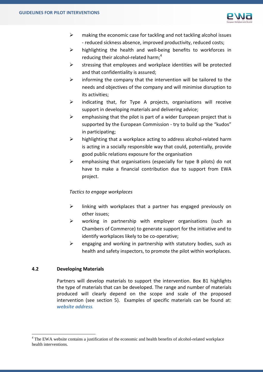

- $\triangleright$  making the economic case for tackling and not tackling alcohol issues - reduced sickness absence, improved productivity, reduced costs;
- $\triangleright$  highlighting the health and well-being benefits to workforces in reducing their alcohol-related harm;<sup>4</sup>
- $\triangleright$  stressing that employees and workplace identities will be protected and that confidentiality is assured;
- $\triangleright$  informing the company that the intervention will be tailored to the needs and objectives of the company and will minimise disruption to its activities;
- $\triangleright$  indicating that, for Type A projects, organisations will receive support in developing materials and delivering advice;
- $\triangleright$  emphasising that the pilot is part of a wider European project that is supported by the European Commission - try to build up the "kudos" in participating;
- $\triangleright$  highlighting that a workplace acting to address alcohol-related harm is acting in a socially responsible way that could, potentially, provide good public relations exposure for the organisation
- $\triangleright$  emphasising that organisations (especially for type B pilots) do not have to make a financial contribution due to support from EWA project.

# Tactics to engage workplaces

- $\triangleright$  linking with workplaces that a partner has engaged previously on other issues;
- $\triangleright$  working in partnership with employer organisations (such as Chambers of Commerce) to generate support for the initiative and to identify workplaces likely to be co-operative;
- $\triangleright$  engaging and working in partnership with statutory bodies, such as health and safety inspectors, to promote the pilot within workplaces.

### 4.2 Developing Materials

 $\overline{a}$ 

Partners will develop materials to support the intervention. Box B1 highlights the type of materials that can be developed. The range and number of materials produced will clearly depend on the scope and scale of the proposed intervention (see section 5). Examples of specific materials can be found at: website address.

<sup>&</sup>lt;sup>4</sup> The EWA website contains a justification of the economic and health benefits of alcohol-related workplace health interventions.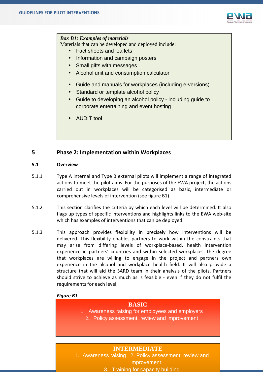

#### *Box B1: Examples of materials*

Materials that can be developed and deployed include:

- Fact sheets and leaflets
- Information and campaign posters
- Small gifts with messages
- Alcohol unit and consumption calculator
- Guide and manuals for workplaces (including e-versions)
- Standard or template alcohol policy
- Guide to developing an alcohol policy including guide to corporate entertaining and event hosting
- AUDIT tool

# 5 Phase 2: Implementation within Workplaces

#### 5.1 Overview

- 5.1.1 Type A internal and Type B external pilots will implement a range of integrated actions to meet the pilot aims. For the purposes of the EWA project, the actions carried out in workplaces will be categorised as basic, intermediate or comprehensive levels of intervention (see figure B1)
- 5.1.2 This section clarifies the criteria by which each level will be determined. It also flags up types of specific interventions and highlights links to the EWA web-site which has examples of interventions that can be deployed.
- 5.1.3 This approach provides flexibility in precisely how interventions will be delivered. This flexibility enables partners to work within the constraints that may arise from differing levels of workplace-based, health intervention experience in partners' countries and within selected workplaces, the degree that workplaces are willing to engage in the project and partners own experience in the alcohol and workplace health field. It will also provide a structure that will aid the SARD team in their analysis of the pilots. Partners should strive to achieve as much as is feasible - even if they do not fulfil the requirements for each level.

#### Figure B1

### **BASIC**

- 1. Awareness raising for employees and employers
- 2. Policy assessment, review and improvement

### **INTERMEDIATE**

1. Awareness raising 2. Policy assessment, review and improvement 3. Training for capacity building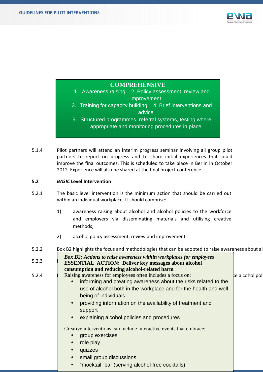

# **COMPREHENSIVE**

- 1. Awareness raising 2. Policy assessment, review and improvement 3. Training for capacity building 4. Brief interventions and advice
- 5. Structured programmes, referral systems, testing where appropriate and monitoring procedures in place
- 5.1.4 Pilot partners will attend an interim progress seminar involving all group pilot partners to report on progress and to share initial experiences that could improve the final outcomes. This is scheduled to take place in Berlin in October 2012 Experience will also be shared at the final project conference.

### 5.2 BASIC Level Intervention

- 5.2.1 The basic level intervention is the minimum action that should be carried out within an individual workplace. It should comprise:
	- 1) awareness raising about alcohol and alcohol policies to the workforce and employers via disseminating materials and utilising creative methods;
	- 2) alcohol policy assessment, review and improvement.

5.2.2 Box B2 highlights the focus and methodologies that can be adopted to raise awareness about alcohol alcohol alcohol. Box B3 highlights the focus and methodologies that can be adopted to raise awareness about al-

| 5.2.3 | <b>Box B2:</b> Actions to raise awareness within workplaces for employees<br><b>ESSENTIAL ACTION: Deliver key messages about alcohol</b><br>consumption and reducing alcohol-related harm                                                                                                                                                                      |                 |
|-------|----------------------------------------------------------------------------------------------------------------------------------------------------------------------------------------------------------------------------------------------------------------------------------------------------------------------------------------------------------------|-----------------|
| 5.2.4 | Raising awareness for employees often includes a focus on:<br>informing and creating awareness about the risks related to the<br>use of alcohol both in the workplace and for the health and well-<br>being of individuals<br>providing information on the availability of treatment and<br>$\bullet$<br>support<br>explaining alcohol policies and procedures | ce alcohol poli |
|       | Creative interventions can include interactive events that embrace:<br>group exercises<br>role play<br>quizzes<br>small group discussions<br>"mocktail "bar (serving alcohol-free cocktails).                                                                                                                                                                  |                 |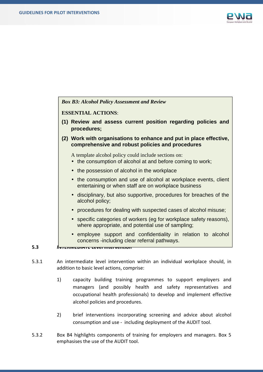



- 2) brief interventions incorporating screening and advice about alcohol consumption and use - including deployment of the AUDIT tool.
- 5.3.2 Box B4 highlights components of training for employers and managers. Box 5 emphasises the use of the AUDIT tool.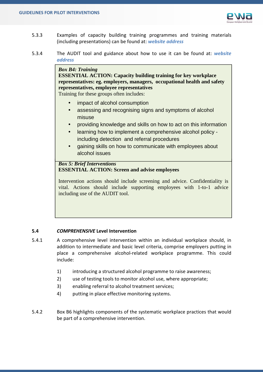

- 5.3.3 Examples of capacity building training programmes and training materials (including presentations) can be found at: website address
- 5.3.4 The AUDIT tool and guidance about how to use it can be found at: website address

# *Box B4: Training*

**ESSENTIAL ACTION: Capacity building training for key workplace representatives: eg. employers, managers, occupational health and safety representatives, employee representatives**

Training for these groups often includes:

- impact of alcohol consumption
- assessing and recognising signs and symptoms of alcohol misuse
- providing knowledge and skills on how to act on this information
- learning how to implement a comprehensive alcohol policy including detection and referral procedures
- gaining skills on how to communicate with employees about alcohol issues

### *Box 5: Brief Interventions*  **ESSENTIAL ACTION: Screen and advise employees**

Intervention actions should include screening and advice. Confidentiality is vital. Actions should include supporting employees with 1-to-1 advice including use of the AUDIT tool.

### 5.4 COMPREHENSIVE Level Intervention

- 5.4.1 A comprehensive level intervention within an individual workplace should, in addition to intermediate and basic level criteria, comprise employers putting in place a comprehensive alcohol-related workplace programme. This could include:
	- 1) introducing a structured alcohol programme to raise awareness;
	- 2) use of testing tools to monitor alcohol use, where appropriate;
	- 3) enabling referral to alcohol treatment services;
	- 4) putting in place effective monitoring systems.
- 5.4.2 Box B6 highlights components of the systematic workplace practices that would be part of a comprehensive intervention.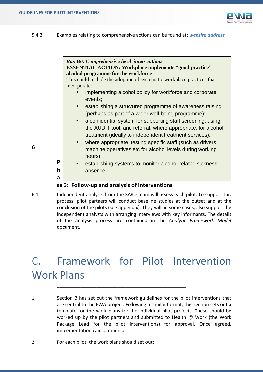6

P h a



5.4.3 Examples relating to comprehensive actions can be found at: website address

# se 3: Follow-up and analysis of interventions

\_\_\_\_\_\_\_\_\_\_\_\_\_\_\_\_\_\_\_\_\_\_\_\_\_\_\_\_\_\_\_\_\_\_\_\_\_\_\_\_\_\_\_\_\_\_\_\_\_

6.1 Independent analysts from the SARD team will assess each pilot. To support this process, pilot partners will conduct baseline studies at the outset and at the conclusion of the pilots (see appendix). They will, in some cases, also support the independent analysts with arranging interviews with key informants. The details of the analysis process are contained in the Analytic Framework Model document.

# C. Framework for Pilot Intervention Work Plans

- 1 Section B has set out the framework guidelines for the pilot interventions that are central to the EWA project. Following a similar format, this section sets out a template for the work plans for the individual pilot projects. These should be worked up by the pilot partners and submitted to Health @ Work (the Work Package Lead for the pilot interventions) for approval. Once agreed, implementation can commence.
- 2 For each pilot, the work plans should set out: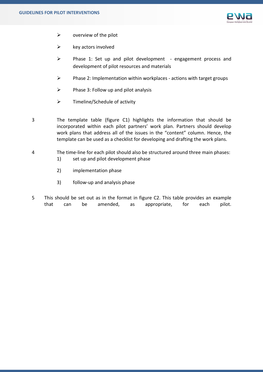

- $\triangleright$  overview of the pilot
- $\triangleright$  key actors involved
- Phase 1: Set up and pilot development engagement process and development of pilot resources and materials
- $\triangleright$  Phase 2: Implementation within workplaces actions with target groups
- $\triangleright$  Phase 3: Follow up and pilot analysis
- $\triangleright$  Timeline/Schedule of activity
- 3 The template table (figure C1) highlights the information that should be incorporated within each pilot partners' work plan. Partners should develop work plans that address all of the issues in the "content" column. Hence, the template can be used as a checklist for developing and drafting the work plans.

# 4 The time-line for each pilot should also be structured around three main phases:

- 1) set up and pilot development phase
- 2) implementation phase
- 3) follow-up and analysis phase
- 5 This should be set out as in the format in figure C2. This table provides an example that can be amended, as appropriate, for each pilot.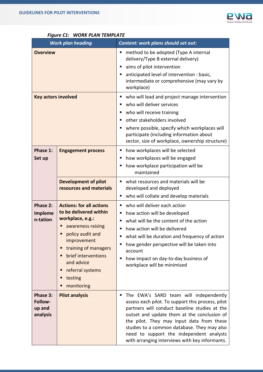

| <b>Figure C1. WORK FLAN ILIVIF</b><br><b>Work plan heading</b> |                                                                                                                                                                                                                                                                     | Content: work plans should set out:                                                                                                                                                                                                                                                                                                                                                   |
|----------------------------------------------------------------|---------------------------------------------------------------------------------------------------------------------------------------------------------------------------------------------------------------------------------------------------------------------|---------------------------------------------------------------------------------------------------------------------------------------------------------------------------------------------------------------------------------------------------------------------------------------------------------------------------------------------------------------------------------------|
| <b>Overview</b>                                                |                                                                                                                                                                                                                                                                     | method to be adopted (Type A internal<br>п<br>delivery/Type B external delivery)<br>aims of pilot intervention<br>п<br>anticipated level of intervention : basic,<br>п<br>intermediate or comprehensive (may vary by<br>workplace)                                                                                                                                                    |
| <b>Key actors involved</b>                                     |                                                                                                                                                                                                                                                                     | who will lead and project manage intervention<br>п<br>who will deliver services<br>who will receive training<br>other stakeholders involved<br>where possible, specify which workplaces will<br>п<br>participate (including information about<br>sector, size of workplace, ownership structure)                                                                                      |
| Phase 1:<br>Set up                                             | <b>Engagement process</b>                                                                                                                                                                                                                                           | how workplaces will be selected<br>п<br>how workplaces will be engaged<br>п<br>how workplace participation will be<br>maintained                                                                                                                                                                                                                                                      |
|                                                                | <b>Development of pilot</b><br>resources and materials                                                                                                                                                                                                              | what resources and materials will be<br>٠<br>developed and deployed<br>who will collate and develop materials<br>Е                                                                                                                                                                                                                                                                    |
| Phase 2:<br>Impleme<br>n-tation                                | <b>Actions: for all actions</b><br>to be delivered within<br>workplace, e.g.:<br>awareness raising<br>policy audit and<br>improvement<br>training of managers<br>п<br>brief interventions<br>п<br>and advice<br>referral systems<br>п<br>testing<br>п<br>monitoring | who will deliver each action<br>how action will be developed<br>п<br>what will be the content of the action<br>how action will be delivered<br>п<br>what will be duration and frequency of action<br>п<br>how gender perspective will be taken into<br>п<br>account<br>how impact on day-to-day business of<br>workplace will be minimised                                            |
| Phase 3:<br>Follow-<br>up and<br>analysis                      | <b>Pilot analysis</b>                                                                                                                                                                                                                                               | The EWA's SARD team will independently<br>assess each pilot. To support this process, pilot<br>partners will conduct baseline studies at the<br>outset and update them at the conclusion of<br>the pilot. They may input data from these<br>studies to a common database. They may also<br>need to support the independent analysts<br>with arranging interviews with key informants. |

# Figure C1: WORK PLAN TEMPLATE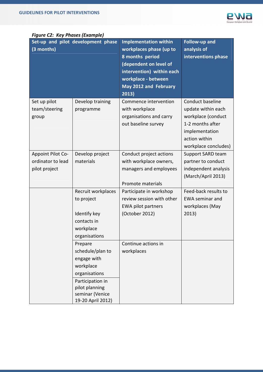

# Figure C2: Key Phases (Example)

| Set-up and pilot development phase |                    | <b>Implementation within</b> | <b>Follow-up and</b>   |
|------------------------------------|--------------------|------------------------------|------------------------|
| (3 months)                         |                    | workplaces phase (up to      | analysis of            |
|                                    |                    | 8 months period              | interventions phase    |
|                                    |                    | (dependent on level of       |                        |
|                                    |                    | intervention) within each    |                        |
|                                    |                    | workplace - between          |                        |
|                                    |                    | May 2012 and February        |                        |
|                                    |                    | 2013)                        |                        |
| Set up pilot                       | Develop training   | Commence intervention        | Conduct baseline       |
| team/steering                      | programme          | with workplace               | update within each     |
| group                              |                    | organisations and carry      | workplace (conduct     |
|                                    |                    | out baseline survey          | 1-2 months after       |
|                                    |                    |                              | implementation         |
|                                    |                    |                              | action within          |
|                                    |                    |                              | workplace concludes)   |
| Appoint Pilot Co-                  | Develop project    | Conduct project actions      | Support SARD team      |
| ordinator to lead                  | materials          | with workplace owners,       | partner to conduct     |
| pilot project                      |                    | managers and employees       | independent analysis   |
|                                    |                    |                              | (March/April 2013)     |
|                                    |                    | Promote materials            |                        |
|                                    | Recruit workplaces | Participate in workshop      | Feed-back results to   |
|                                    | to project         | review session with other    | <b>EWA seminar and</b> |
|                                    |                    | EWA pilot partners           | workplaces (May        |
|                                    | Identify key       | (October 2012)               | 2013)                  |
|                                    | contacts in        |                              |                        |
|                                    | workplace          |                              |                        |
|                                    | organisations      |                              |                        |
|                                    | Prepare            | Continue actions in          |                        |
|                                    | schedule/plan to   | workplaces                   |                        |
|                                    | engage with        |                              |                        |
|                                    | workplace          |                              |                        |
|                                    | organisations      |                              |                        |
|                                    | Participation in   |                              |                        |
|                                    | pilot planning     |                              |                        |
|                                    | seminar (Venice    |                              |                        |
|                                    | 19-20 April 2012)  |                              |                        |